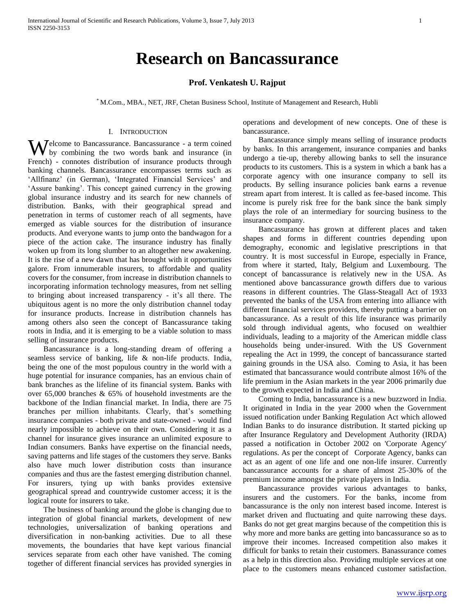# **Research on Bancassurance**

# **Prof. Venkatesh U. Rajput**

\* M.Com., MBA., NET, JRF, Chetan Business School, Institute of Management and Research, Hubli

#### I. INTRODUCTION

Welcome to Bancassurance. Bancassurance - a term coined<br>by combining the two words bank and insurance (in by combining the two words bank and insurance (in French) - connotes distribution of insurance products through banking channels. Bancassurance encompasses terms such as 'Allfinanz' (in German), 'Integrated Financial Services' and 'Assure banking'. This concept gained currency in the growing global insurance industry and its search for new channels of distribution. Banks, with their geographical spread and penetration in terms of customer reach of all segments, have emerged as viable sources for the distribution of insurance products. And everyone wants to jump onto the bandwagon for a piece of the action cake. The insurance industry has finally woken up from its long slumber to an altogether new awakening. It is the rise of a new dawn that has brought with it opportunities galore. From innumerable insurers, to affordable and quality covers for the consumer, from increase in distribution channels to incorporating information technology measures, from net selling to bringing about increased transparency - it's all there. The ubiquitous agent is no more the only distribution channel today for insurance products. Increase in distribution channels has among others also seen the concept of Bancassurance taking roots in India, and it is emerging to be a viable solution to mass selling of insurance products.

 Bancassurance is a long-standing dream of offering a seamless service of banking, life & non-life products. India, being the one of the most populous country in the world with a huge potential for insurance companies, has an envious chain of bank branches as the lifeline of its financial system. Banks with over 65,000 branches & 65% of household investments are the backbone of the Indian financial market. In India, there are 75 branches per million inhabitants. Clearly, that's something insurance companies - both private and state-owned - would find nearly impossible to achieve on their own. Considering it as a channel for insurance gives insurance an unlimited exposure to Indian consumers. Banks have expertise on the financial needs, saving patterns and life stages of the customers they serve. Banks also have much lower distribution costs than insurance companies and thus are the fastest emerging distribution channel. For insurers, tying up with banks provides extensive geographical spread and countrywide customer access; it is the logical route for insurers to take.

 The business of banking around the globe is changing due to integration of global financial markets, development of new technologies, universalization of banking operations and diversification in non-banking activities. Due to all these movements, the boundaries that have kept various financial services separate from each other have vanished. The coming together of different financial services has provided synergies in

operations and development of new concepts. One of these is bancassurance.

 Bancassurance simply means selling of insurance products by banks. In this arrangement, insurance companies and banks undergo a tie-up, thereby allowing banks to sell the insurance products to its customers. This is a system in which a bank has a corporate agency with one insurance company to sell its products. By selling insurance policies bank earns a revenue stream apart from interest. It is called as fee-based income. This income is purely risk free for the bank since the bank simply plays the role of an intermediary for sourcing business to the insurance company.

 Bancassurance has grown at different places and taken shapes and forms in different countries depending upon demography, economic and legislative prescriptions in that country. It is most successful in Europe, especially in France, from where it started, Italy, Belgium and Luxembourg. The concept of bancassurance is relatively new in the USA. As mentioned above bancassurance growth differs due to various reasons in different countries. The Glass-Steagall Act of 1933 prevented the banks of the USA from entering into alliance with different financial services providers, thereby putting a barrier on bancassurance. As a result of this life insurance was primarily sold through individual agents, who focused on wealthier individuals, leading to a majority of the American middle class households being under-insured. With the US Government repealing the Act in 1999, the concept of bancassurance started gaining grounds in the USA also. Coming to Asia, it has been estimated that bancassurance would contribute almost 16% of the life premium in the Asian markets in the year 2006 primarily due to the growth expected in India and China.

 Coming to India, bancassurance is a new buzzword in India. It originated in India in the year 2000 when the Government issued notification under Banking Regulation Act which allowed Indian Banks to do insurance distribution. It started picking up after Insurance Regulatory and Development Authority (IRDA) passed a notification in October 2002 on 'Corporate Agency' regulations. As per the concept of Corporate Agency, banks can act as an agent of one life and one non-life insurer. Currently bancassurance accounts for a share of almost 25-30% of the premium income amongst the private players in India.

 Bancassurance provides various advantages to banks, insurers and the customers. For the banks, income from bancassurance is the only non interest based income. Interest is market driven and fluctuating and quite narrowing these days. Banks do not get great margins because of the competition this is why more and more banks are getting into bancassurance so as to improve their incomes. Increased competition also makes it difficult for banks to retain their customers. Banassurance comes as a help in this direction also. Providing multiple services at one place to the customers means enhanced customer satisfaction.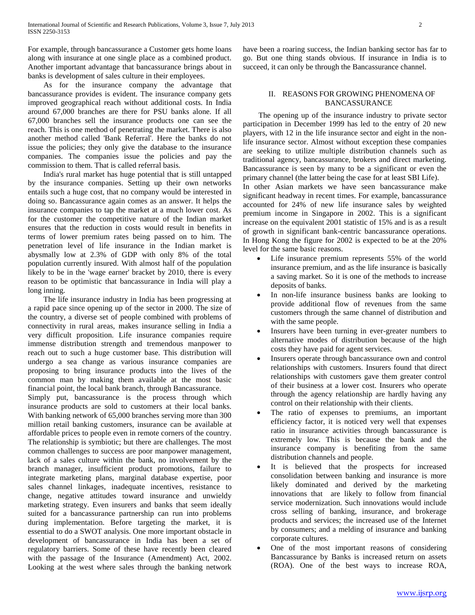For example, through bancassurance a Customer gets home loans along with insurance at one single place as a combined product. Another important advantage that bancassurance brings about in banks is development of sales culture in their employees.

 As for the insurance company the advantage that bancassurance provides is evident. The insurance company gets improved geographical reach without additional costs. In India around 67,000 branches are there for PSU banks alone. If all 67,000 branches sell the insurance products one can see the reach. This is one method of penetrating the market. There is also another method called 'Bank Referral'. Here the banks do not issue the policies; they only give the database to the insurance companies. The companies issue the policies and pay the commission to them. That is called referral basis.

 India's rural market has huge potential that is still untapped by the insurance companies. Setting up their own networks entails such a huge cost, that no company would be interested in doing so. Bancassurance again comes as an answer. It helps the insurance companies to tap the market at a much lower cost. As for the customer the competitive nature of the Indian market ensures that the reduction in costs would result in benefits in terms of lower premium rates being passed on to him. The penetration level of life insurance in the Indian market is abysmally low at 2.3% of GDP with only 8% of the total population currently insured. With almost half of the population likely to be in the 'wage earner' bracket by 2010, there is every reason to be optimistic that bancassurance in India will play a long inning.

 The life insurance industry in India has been progressing at a rapid pace since opening up of the sector in 2000. The size of the country, a diverse set of people combined with problems of connectivity in rural areas, makes insurance selling in India a very difficult proposition. Life insurance companies require immense distribution strength and tremendous manpower to reach out to such a huge customer base. This distribution will undergo a sea change as various insurance companies are proposing to bring insurance products into the lives of the common man by making them available at the most basic financial point, the local bank branch, through Bancassurance.

Simply put, bancassurance is the process through which insurance products are sold to customers at their local banks. With banking network of 65,000 branches serving more than 300 million retail banking customers, insurance can be available at affordable prices to people even in remote corners of the country. The relationship is symbiotic; but there are challenges. The most common challenges to success are poor manpower management, lack of a sales culture within the bank, no involvement by the branch manager, insufficient product promotions, failure to integrate marketing plans, marginal database expertise, poor sales channel linkages, inadequate incentives, resistance to change, negative attitudes toward insurance and unwieldy marketing strategy. Even insurers and banks that seem ideally suited for a bancassurance partnership can run into problems during implementation. Before targeting the market, it is essential to do a SWOT analysis. One more important obstacle in development of bancassurance in India has been a set of regulatory barriers. Some of these have recently been cleared with the passage of the Insurance (Amendment) Act, 2002. Looking at the west where sales through the banking network have been a roaring success, the Indian banking sector has far to go. But one thing stands obvious. If insurance in India is to succeed, it can only be through the Bancassurance channel.

# II. REASONS FOR GROWING PHENOMENA OF BANCASSURANCE

 The opening up of the insurance industry to private sector participation in December 1999 has led to the entry of 20 new players, with 12 in the life insurance sector and eight in the nonlife insurance sector. Almost without exception these companies are seeking to utilize multiple distribution channels such as traditional agency, bancassurance, brokers and direct marketing. Bancassurance is seen by many to be a significant or even the primary channel (the latter being the case for at least SBI Life).

In other Asian markets we have seen bancassurance make significant headway in recent times. For example, bancassurance accounted for 24% of new life insurance sales by weighted premium income in Singapore in 2002. This is a significant increase on the equivalent 2001 statistic of 15% and is as a result of growth in significant bank-centric bancassurance operations. In Hong Kong the figure for 2002 is expected to be at the 20% level for the same basic reasons.

- Life insurance premium represents 55% of the world insurance premium, and as the life insurance is basically a saving market. So it is one of the methods to increase deposits of banks.
- In non-life insurance business banks are looking to provide additional flow of revenues from the same customers through the same channel of distribution and with the same people.
- Insurers have been turning in ever-greater numbers to alternative modes of distribution because of the high costs they have paid for agent services.
- Insurers operate through bancassurance own and control relationships with customers. Insurers found that direct relationships with customers gave them greater control of their business at a lower cost. Insurers who operate through the agency relationship are hardly having any control on their relationship with their clients.
- The ratio of expenses to premiums, an important efficiency factor, it is noticed very well that expenses ratio in insurance activities through bancassurance is extremely low. This is because the bank and the insurance company is benefiting from the same distribution channels and people.
- It is believed that the prospects for increased consolidation between banking and insurance is more likely dominated and derived by the marketing innovations that are likely to follow from financial service modernization. Such innovations would include cross selling of banking, insurance, and brokerage products and services; the increased use of the Internet by consumers; and a melding of insurance and banking corporate cultures.
- One of the most important reasons of considering Bancassurance by Banks is increased return on assets (ROA). One of the best ways to increase ROA,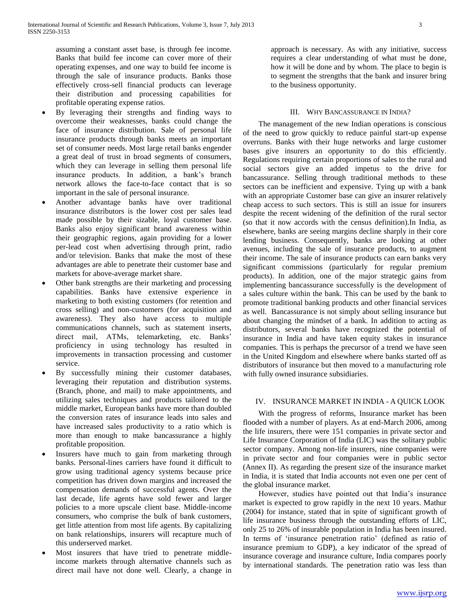assuming a constant asset base, is through fee income. Banks that build fee income can cover more of their operating expenses, and one way to build fee income is through the sale of insurance products. Banks those effectively cross-sell financial products can leverage their distribution and processing capabilities for profitable operating expense ratios.

- By leveraging their strengths and finding ways to overcome their weaknesses, banks could change the face of insurance distribution. Sale of personal life insurance products through banks meets an important set of consumer needs. Most large retail banks engender a great deal of trust in broad segments of consumers, which they can leverage in selling them personal life insurance products. In addition, a bank's branch network allows the face-to-face contact that is so important in the sale of personal insurance.
- Another advantage banks have over traditional insurance distributors is the lower cost per sales lead made possible by their sizable, loyal customer base. Banks also enjoy significant brand awareness within their geographic regions, again providing for a lower per-lead cost when advertising through print, radio and/or television. Banks that make the most of these advantages are able to penetrate their customer base and markets for above-average market share.
- Other bank strengths are their marketing and processing capabilities. Banks have extensive experience in marketing to both existing customers (for retention and cross selling) and non-customers (for acquisition and awareness). They also have access to multiple communications channels, such as statement inserts, direct mail, ATMs, telemarketing, etc. Banks' proficiency in using technology has resulted in improvements in transaction processing and customer service.
- By successfully mining their customer databases, leveraging their reputation and distribution systems. (Branch, phone, and mail) to make appointments, and utilizing sales techniques and products tailored to the middle market, European banks have more than doubled the conversion rates of insurance leads into sales and have increased sales productivity to a ratio which is more than enough to make bancassurance a highly profitable proposition.
- Insurers have much to gain from marketing through banks. Personal-lines carriers have found it difficult to grow using traditional agency systems because price competition has driven down margins and increased the compensation demands of successful agents. Over the last decade, life agents have sold fewer and larger policies to a more upscale client base. Middle-income consumers, who comprise the bulk of bank customers, get little attention from most life agents. By capitalizing on bank relationships, insurers will recapture much of this underserved market.
- Most insurers that have tried to penetrate middleincome markets through alternative channels such as direct mail have not done well. Clearly, a change in

approach is necessary. As with any initiative, success requires a clear understanding of what must be done, how it will be done and by whom. The place to begin is to segment the strengths that the bank and insurer bring to the business opportunity.

## III. WHY BANCASSURANCE IN INDIA?

 The management of the new Indian operations is conscious of the need to grow quickly to reduce painful start-up expense overruns. Banks with their huge networks and large customer bases give insurers an opportunity to do this efficiently. Regulations requiring certain proportions of sales to the rural and social sectors give an added impetus to the drive for bancassurance. Selling through traditional methods to these sectors can be inefficient and expensive. Tying up with a bank with an appropriate Customer base can give an insurer relatively cheap access to such sectors. This is still an issue for insurers despite the recent widening of the definition of the rural sector (so that it now accords with the census definition).In India, as elsewhere, banks are seeing margins decline sharply in their core lending business. Consequently, banks are looking at other avenues, including the sale of insurance products, to augment their income. The sale of insurance products can earn banks very significant commissions (particularly for regular premium products). In addition, one of the major strategic gains from implementing bancassurance successfully is the development of a sales culture within the bank. This can be used by the bank to promote traditional banking products and other financial services as well. Bancassurance is not simply about selling insurance but about changing the mindset of a bank. In addition to acting as distributors, several banks have recognized the potential of insurance in India and have taken equity stakes in insurance companies. This is perhaps the precursor of a trend we have seen in the United Kingdom and elsewhere where banks started off as distributors of insurance but then moved to a manufacturing role with fully owned insurance subsidiaries.

# IV. INSURANCE MARKET IN INDIA - A QUICK LOOK

 With the progress of reforms, Insurance market has been flooded with a number of players. As at end-March 2006, among the life insurers, there were 151 companies in private sector and Life Insurance Corporation of India (LIC) was the solitary public sector company. Among non-life insurers, nine companies were in private sector and four companies were in public sector (Annex II). As regarding the present size of the insurance market in India, it is stated that India accounts not even one per cent of the global insurance market.

 However, studies have pointed out that India's insurance market is expected to grow rapidly in the next 10 years. Mathur (2004) for instance, stated that in spite of significant growth of life insurance business through the outstanding efforts of LIC, only 25 to 26% of insurable population in India has been insured. In terms of 'insurance penetration ratio' (defined as ratio of insurance premium to GDP), a key indicator of the spread of insurance coverage and insurance culture, India compares poorly by international standards. The penetration ratio was less than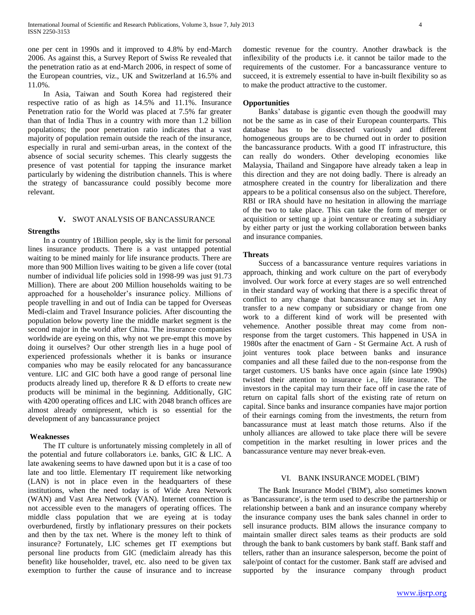one per cent in 1990s and it improved to 4.8% by end-March 2006. As against this, a Survey Report of Swiss Re revealed that the penetration ratio as at end-March 2006, in respect of some of the European countries, viz., UK and Switzerland at 16.5% and 11.0%.

 In Asia, Taiwan and South Korea had registered their respective ratio of as high as 14.5% and 11.1%. Insurance Penetration ratio for the World was placed at 7.5% far greater than that of India Thus in a country with more than 1.2 billion populations; the poor penetration ratio indicates that a vast majority of population remain outside the reach of the insurance, especially in rural and semi-urban areas, in the context of the absence of social security schemes. This clearly suggests the presence of vast potential for tapping the insurance market particularly by widening the distribution channels. This is where the strategy of bancassurance could possibly become more relevant.

#### **V.** SWOT ANALYSIS OF BANCASSURANCE

### **Strengths**

 In a country of 1Billion people, sky is the limit for personal lines insurance products. There is a vast untapped potential waiting to be mined mainly for life insurance products. There are more than 900 Million lives waiting to be given a life cover (total number of individual life policies sold in 1998-99 was just 91.73 Million). There are about 200 Million households waiting to be approached for a householder's insurance policy. Millions of people travelling in and out of India can be tapped for Overseas Medi-claim and Travel Insurance policies. After discounting the population below poverty line the middle market segment is the second major in the world after China. The insurance companies worldwide are eyeing on this, why not we pre-empt this move by doing it ourselves? Our other strength lies in a huge pool of experienced professionals whether it is banks or insurance companies who may be easily relocated for any bancassurance venture. LIC and GIC both have a good range of personal line products already lined up, therefore  $R \& D$  efforts to create new products will be minimal in the beginning. Additionally, GIC with 4200 operating offices and LIC with 2048 branch offices are almost already omnipresent, which is so essential for the development of any bancassurance project

## **Weaknesses**

 The IT culture is unfortunately missing completely in all of the potential and future collaborators i.e. banks, GIC & LIC. A late awakening seems to have dawned upon but it is a case of too late and too little. Elementary IT requirement like networking (LAN) is not in place even in the headquarters of these institutions, when the need today is of Wide Area Network (WAN) and Vast Area Network (VAN). Internet connection is not accessible even to the managers of operating offices. The middle class population that we are eyeing at is today overburdened, firstly by inflationary pressures on their pockets and then by the tax net. Where is the money left to think of insurance? Fortunately, LIC schemes get IT exemptions but personal line products from GIC (mediclaim already has this benefit) like householder, travel, etc. also need to be given tax exemption to further the cause of insurance and to increase domestic revenue for the country. Another drawback is the inflexibility of the products i.e. it cannot be tailor made to the requirements of the customer. For a bancassurance venture to succeed, it is extremely essential to have in-built flexibility so as to make the product attractive to the customer.

## **Opportunities**

 Banks' database is gigantic even though the goodwill may not be the same as in case of their European counterparts. This database has to be dissected variously and different homogeneous groups are to be churned out in order to position the bancassurance products. With a good IT infrastructure, this can really do wonders. Other developing economies like Malaysia, Thailand and Singapore have already taken a leap in this direction and they are not doing badly. There is already an atmosphere created in the country for liberalization and there appears to be a political consensus also on the subject. Therefore, RBI or IRA should have no hesitation in allowing the marriage of the two to take place. This can take the form of merger or acquisition or setting up a joint venture or creating a subsidiary by either party or just the working collaboration between banks and insurance companies.

#### **Threats**

 Success of a bancassurance venture requires variations in approach, thinking and work culture on the part of everybody involved. Our work force at every stages are so well entrenched in their standard way of working that there is a specific threat of conflict to any change that bancassurance may set in. Any transfer to a new company or subsidiary or change from one work to a different kind of work will be presented with vehemence. Another possible threat may come from nonresponse from the target customers. This happened in USA in 1980s after the enactment of Garn - St Germaine Act. A rush of joint ventures took place between banks and insurance companies and all these failed due to the non-response from the target customers. US banks have once again (since late 1990s) twisted their attention to insurance i.e., life insurance. The investors in the capital may turn their face off in case the rate of return on capital falls short of the existing rate of return on capital. Since banks and insurance companies have major portion of their earnings coming from the investments, the return from bancassurance must at least match those returns. Also if the unholy alliances are allowed to take place there will be severe competition in the market resulting in lower prices and the bancassurance venture may never break-even.

## VI. BANK INSURANCE MODEL ('BIM')

 The Bank Insurance Model ('BIM'), also sometimes known as 'Bancassurance', is the term used to describe the partnership or relationship between a bank and an insurance company whereby the insurance company uses the bank sales channel in order to sell insurance products. BIM allows the insurance company to maintain smaller direct sales teams as their products are sold through the bank to bank customers by bank staff. Bank staff and tellers, rather than an insurance salesperson, become the point of sale/point of contact for the customer. Bank staff are advised and supported by the insurance company through product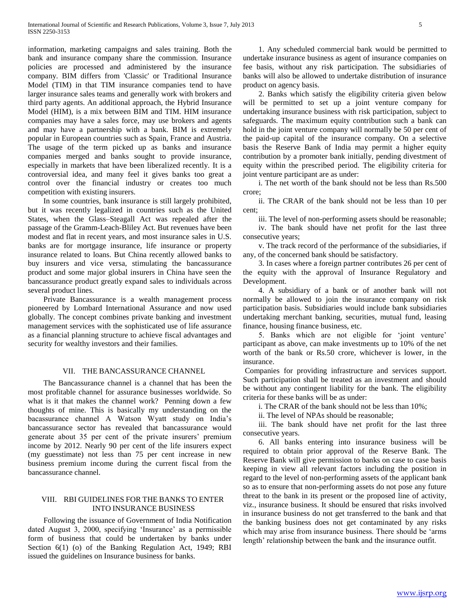information, marketing campaigns and sales training. Both the bank and insurance company share the commission. Insurance policies are processed and administered by the insurance company. BIM differs from 'Classic' or Traditional Insurance Model (TIM) in that TIM insurance companies tend to have larger insurance sales teams and generally work with brokers and third party agents. An additional approach, the Hybrid Insurance Model (HIM), is a mix between BIM and TIM. HIM insurance companies may have a sales force, may use brokers and agents and may have a partnership with a bank. BIM is extremely popular in European countries such as Spain, France and Austria. The usage of the term picked up as banks and insurance companies merged and banks sought to provide insurance, especially in markets that have been liberalized recently. It is a controversial idea, and many feel it gives banks too great a control over the financial industry or creates too much competition with existing insurers.

 In some countries, bank insurance is still largely prohibited, but it was recently legalized in countries such as the United States, when the Glass–Steagall Act was repealed after the passage of the Gramm-Leach-Bliley Act. But revenues have been modest and flat in recent years, and most insurance sales in U.S. banks are for mortgage insurance, life insurance or property insurance related to loans. But China recently allowed banks to buy insurers and vice versa, stimulating the bancassurance product and some major global insurers in China have seen the bancassurance product greatly expand sales to individuals across several product lines.

 Private Bancassurance is a wealth management process pioneered by Lombard International Assurance and now used globally. The concept combines private banking and investment management services with the sophisticated use of life assurance as a financial planning structure to achieve fiscal advantages and security for wealthy investors and their families.

# VII. THE BANCASSURANCE CHANNEL

 The Bancassurance channel is a channel that has been the most profitable channel for assurance businesses worldwide. So what is it that makes the channel work? Penning down a few thoughts of mine. This is basically my understanding on the bacassurance channel A Watson Wyatt study on India's bancassurance sector has revealed that bancassurance would generate about 35 per cent of the private insurers' premium income by 2012. Nearly 90 per cent of the life insurers expect (my guesstimate) not less than 75 per cent increase in new business premium income during the current fiscal from the bancassurance channel.

# VIII. RBI GUIDELINES FOR THE BANKS TO ENTER INTO INSURANCE BUSINESS

 Following the issuance of Government of India Notification dated August 3, 2000, specifying 'Insurance' as a permissible form of business that could be undertaken by banks under Section 6(1) (o) of the Banking Regulation Act, 1949; RBI issued the guidelines on Insurance business for banks.

 1. Any scheduled commercial bank would be permitted to undertake insurance business as agent of insurance companies on fee basis, without any risk participation. The subsidiaries of banks will also be allowed to undertake distribution of insurance product on agency basis.

 2. Banks which satisfy the eligibility criteria given below will be permitted to set up a joint venture company for undertaking insurance business with risk participation, subject to safeguards. The maximum equity contribution such a bank can hold in the joint venture company will normally be 50 per cent of the paid-up capital of the insurance company. On a selective basis the Reserve Bank of India may permit a higher equity contribution by a promoter bank initially, pending divestment of equity within the prescribed period. The eligibility criteria for joint venture participant are as under:

 i. The net worth of the bank should not be less than Rs.500 crore;

 ii. The CRAR of the bank should not be less than 10 per cent;

iii. The level of non-performing assets should be reasonable;

 iv. The bank should have net profit for the last three consecutive years;

 v. The track record of the performance of the subsidiaries, if any, of the concerned bank should be satisfactory.

 3. In cases where a foreign partner contributes 26 per cent of the equity with the approval of Insurance Regulatory and Development.

 4. A subsidiary of a bank or of another bank will not normally be allowed to join the insurance company on risk participation basis. Subsidiaries would include bank subsidiaries undertaking merchant banking, securities, mutual fund, leasing finance, housing finance business, etc.

 5. Banks which are not eligible for 'joint venture' participant as above, can make investments up to 10% of the net worth of the bank or Rs.50 crore, whichever is lower, in the insurance.

Companies for providing infrastructure and services support. Such participation shall be treated as an investment and should be without any contingent liability for the bank. The eligibility criteria for these banks will be as under:

i. The CRAR of the bank should not be less than 10%;

ii. The level of NPAs should be reasonable;

 iii. The bank should have net profit for the last three consecutive years.

 6. All banks entering into insurance business will be required to obtain prior approval of the Reserve Bank. The Reserve Bank will give permission to banks on case to case basis keeping in view all relevant factors including the position in regard to the level of non-performing assets of the applicant bank so as to ensure that non-performing assets do not pose any future threat to the bank in its present or the proposed line of activity, viz., insurance business. It should be ensured that risks involved in insurance business do not get transferred to the bank and that the banking business does not get contaminated by any risks which may arise from insurance business. There should be 'arms length' relationship between the bank and the insurance outfit.